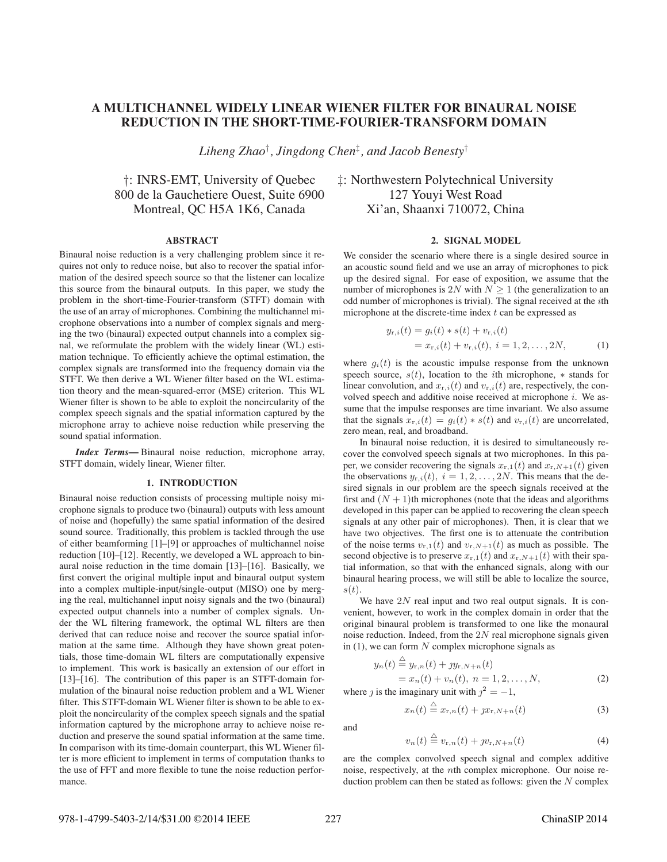# **A MULTICHANNEL WIDELY LINEAR WIENER FILTER FOR BINAURAL NOISE REDUCTION IN THE SHORT-TIME-FOURIER-TRANSFORM DOMAIN**

*Liheng Zhao*† *, Jingdong Chen*‡ *, and Jacob Benesty*†

†: INRS-EMT, University of Quebec ‡: Northwestern Polytechnical University 800 de la Gauchetiere Ouest, Suite 6900 127 Youyi West Road Montreal, OC H5A 1K6, Canada Xi'an, Shaanxi 710072, China

## **ABSTRACT**

Binaural noise reduction is a very challenging problem since it requires not only to reduce noise, but also to recover the spatial information of the desired speech source so that the listener can localize this source from the binaural outputs. In this paper, we study the problem in the short-time-Fourier-transform (STFT) domain with the use of an array of microphones. Combining the multichannel microphone observations into a number of complex signals and merging the two (binaural) expected output channels into a complex signal, we reformulate the problem with the widely linear (WL) estimation technique. To efficiently achieve the optimal estimation, the complex signals are transformed into the frequency domain via the STFT. We then derive a WL Wiener filter based on the WL estimation theory and the mean-squared-error (MSE) criterion. This WL Wiener filter is shown to be able to exploit the noncircularity of the complex speech signals and the spatial information captured by the microphone array to achieve noise reduction while preserving the sound spatial information.

*Index Terms***—** Binaural noise reduction, microphone array, STFT domain, widely linear, Wiener filter.

## **1. INTRODUCTION**

Binaural noise reduction consists of processing multiple noisy microphone signals to produce two (binaural) outputs with less amount of noise and (hopefully) the same spatial information of the desired sound source. Traditionally, this problem is tackled through the use of either beamforming [1]–[9] or approaches of multichannel noise reduction [10]–[12]. Recently, we developed a WL approach to binaural noise reduction in the time domain [13]–[16]. Basically, we first convert the original multiple input and binaural output system into a complex multiple-input/single-output (MISO) one by merging the real, multichannel input noisy signals and the two (binaural) expected output channels into a number of complex signals. Under the WL filtering framework, the optimal WL filters are then derived that can reduce noise and recover the source spatial information at the same time. Although they have shown great potentials, those time-domain WL filters are computationally expensive to implement. This work is basically an extension of our effort in [13]–[16]. The contribution of this paper is an STFT-domain formulation of the binaural noise reduction problem and a WL Wiener filter. This STFT-domain WL Wiener filter is shown to be able to exploit the noncircularity of the complex speech signals and the spatial information captured by the microphone array to achieve noise reduction and preserve the sound spatial information at the same time. In comparison with its time-domain counterpart, this WL Wiener filter is more efficient to implement in terms of computation thanks to the use of FFT and more flexible to tune the noise reduction performance.

### **2. SIGNAL MODEL**

We consider the scenario where there is a single desired source in an acoustic sound field and we use an array of microphones to pick up the desired signal. For ease of exposition, we assume that the number of microphones is 2N with  $N > 1$  (the generalization to an odd number of microphones is trivial). The signal received at the ith microphone at the discrete-time index  $t$  can be expressed as

$$
y_{r,i}(t) = g_i(t) * s(t) + v_{r,i}(t)
$$
  
=  $x_{r,i}(t) + v_{r,i}(t), i = 1, 2, ..., 2N,$  (1)

where  $g_i(t)$  is the acoustic impulse response from the unknown speech source,  $s(t)$ , location to the *i*th microphone,  $*$  stands for linear convolution, and  $x_{r,i}(t)$  and  $v_{r,i}(t)$  are, respectively, the convolved speech and additive noise received at microphone  $i$ . We assume that the impulse responses are time invariant. We also assume that the signals  $x_{r,i}(t) = g_i(t) * s(t)$  and  $v_{r,i}(t)$  are uncorrelated, zero mean, real, and broadband.

In binaural noise reduction, it is desired to simultaneously recover the convolved speech signals at two microphones. In this paper, we consider recovering the signals  $x_{r,1}(t)$  and  $x_{r,N+1}(t)$  given the observations  $y_{r,i}(t)$ ,  $i = 1, 2, ..., 2N$ . This means that the desired signals in our problem are the speech signals received at the first and  $(N + 1)$ th microphones (note that the ideas and algorithms developed in this paper can be applied to recovering the clean speech signals at any other pair of microphones). Then, it is clear that we have two objectives. The first one is to attenuate the contribution of the noise terms  $v_{r,1}(t)$  and  $v_{r,N+1}(t)$  as much as possible. The second objective is to preserve  $x_{r,1}(t)$  and  $x_{r,N+1}(t)$  with their spatial information, so that with the enhanced signals, along with our binaural hearing process, we will still be able to localize the source,  $s(t)$ .

We have  $2N$  real input and two real output signals. It is convenient, however, to work in the complex domain in order that the original binaural problem is transformed to one like the monaural noise reduction. Indeed, from the  $2N$  real microphone signals given in  $(1)$ , we can form N complex microphone signals as

$$
y_n(t) \stackrel{\triangle}{=} y_{r,n}(t) + jy_{r,N+n}(t)
$$
  
=  $x_n(t) + v_n(t), n = 1, 2, ..., N,$  (2)

where *j* is the imaginary unit with  $j^2 = -1$ ,

 $\eta$ 

$$
x_n(t) \stackrel{\triangle}{=} x_{r,n}(t) + jx_{r,N+n}(t) \tag{3}
$$

and

$$
n(t) \stackrel{\triangle}{=} v_{\mathrm{r},n}(t) + \jmath v_{\mathrm{r},N+n}(t) \tag{4}
$$

are the complex convolved speech signal and complex additive noise, respectively, at the nth complex microphone. Our noise reduction problem can then be stated as follows: given the  $N$  complex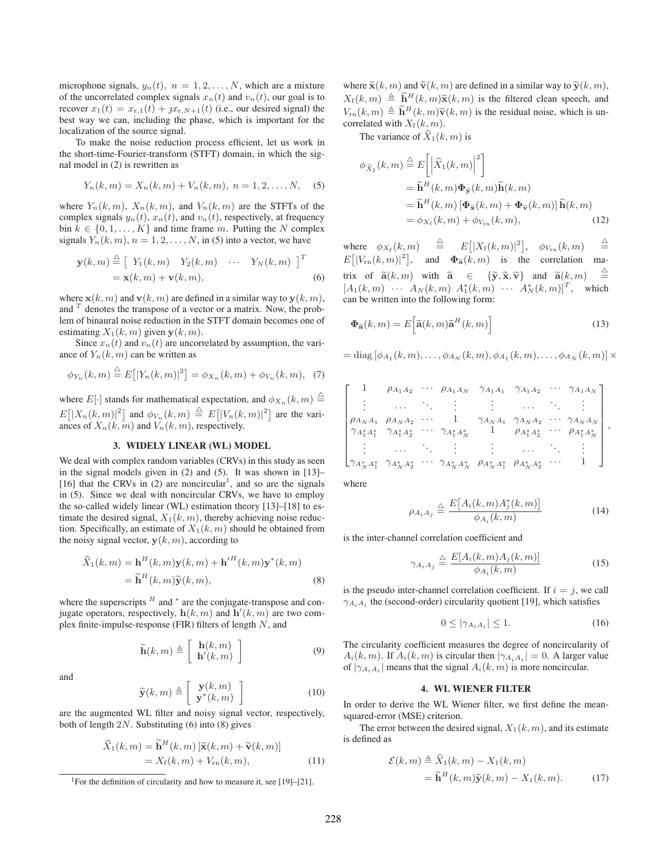microphone signals,  $y_n(t)$ ,  $n = 1, 2, ..., N$ , which are a mixture of the uncorrelated complex signals  $x_n(t)$  and  $v_n(t)$ , our goal is to recover  $x_1(t) = x_{r,1}(t) + jx_{r,N+1}(t)$  (i.e., our desired signal) the best way we can, including the phase, which is important for the localization of the source signal.

To make the noise reduction process efficient, let us work in the short-time-Fourier-transform (STFT) domain, in which the signal model in (2) is rewritten as

$$
Y_n(k,m) = X_n(k,m) + V_n(k,m), \ n = 1,2,\ldots,N,
$$
 (5)

where  $Y_n(k, m)$ ,  $X_n(k, m)$ , and  $V_n(k, m)$  are the STFTs of the complex signals  $y_n(t)$ ,  $x_n(t)$ , and  $v_n(t)$ , respectively, at frequency bin  $k \in \{0, 1, \ldots, K\}$  and time frame m. Putting the N complex signals  $Y_n(k, m)$ ,  $n = 1, 2, \dots, N$ , in (5) into a vector, we have

$$
\mathbf{y}(k,m) \stackrel{\triangle}{=} \left[ Y_1(k,m) \quad Y_2(k,m) \quad \cdots \quad Y_N(k,m) \right]^T
$$
  
=  $\mathbf{x}(k,m) + \mathbf{v}(k,m),$  (6)

where  $\mathbf{x}(k, m)$  and  $\mathbf{v}(k, m)$  are defined in a similar way to  $\mathbf{y}(k, m)$ , and  $\overline{T}$  denotes the transpose of a vector or a matrix. Now, the problem of binaural noise reduction in the STFT domain becomes one of estimating  $X_1(k, m)$  given  $y(k, m)$ .

Since  $x_n(t)$  and  $v_n(t)$  are uncorrelated by assumption, the variance of  $Y_n(k, m)$  can be written as

$$
\phi_{Y_n}(k,m) \stackrel{\triangle}{=} E[|Y_n(k,m)|^2] = \phi_{X_n}(k,m) + \phi_{V_n}(k,m), \quad (7)
$$

where  $E[\cdot]$  stands for mathematical expectation, and  $\phi_{X_n}(k,m) \stackrel{\triangle}{=}$  $E[|X_n(k,m)|^2]$  and  $\phi_{V_n}(k,m) \stackrel{\triangle}{=} E[|V_n(k,m)|^2]$  are the variances of  $X_n(k, m)$  and  $V_n(k, m)$ , respectively.

### **3. WIDELY LINEAR (WL) MODEL**

We deal with complex random variables (CRVs) in this study as seen in the signal models given in (2) and (5). It was shown in [13]– [16] that the CRVs in  $(2)$  are noncircular<sup>1</sup>, and so are the signals in (5). Since we deal with noncircular CRVs, we have to employ the so-called widely linear (WL) estimation theory [13]–[18] to estimate the desired signal,  $X_1(k, m)$ , thereby achieving noise reduction. Specifically, an estimate of  $X_1(k, m)$  should be obtained from the noisy signal vector,  $y(k, m)$ , according to

$$
\widehat{X}_1(k,m) = \mathbf{h}^H(k,m)\mathbf{y}(k,m) + {\mathbf{h}'}^H(k,m)\mathbf{y}^*(k,m)
$$
  
= 
$$
\widetilde{\mathbf{h}}^H(k,m)\widetilde{\mathbf{y}}(k,m),
$$
 (8)

where the superscripts  $<sup>H</sup>$  and  $*$  are the conjugate-transpose and con-</sup> jugate operators, respectively,  $h(k, m)$  and  $h'(k, m)$  are two complex finite-impulse-response (FIR) filters of length N, and

$$
\widetilde{\mathbf{h}}(k,m) \triangleq \left[ \begin{array}{c} \mathbf{h}(k,m) \\ \mathbf{h}'(k,m) \end{array} \right] \tag{9}
$$

and

$$
\widetilde{\mathbf{y}}(k,m) \triangleq \left[ \begin{array}{c} \mathbf{y}(k,m) \\ \mathbf{y}^*(k,m) \end{array} \right] \tag{10}
$$

are the augmented WL filter and noisy signal vector, respectively, both of length  $2N$ . Substituting (6) into (8) gives

$$
\widehat{X}_1(k,m) = \widetilde{\mathbf{h}}^H(k,m) \left[ \widetilde{\mathbf{x}}(k,m) + \widetilde{\mathbf{v}}(k,m) \right] \n= X_f(k,m) + V_{\rm rn}(k,m),
$$
\n(11)

where  $\tilde{\mathbf{x}}(k, m)$  and  $\tilde{\mathbf{v}}(k, m)$  are defined in a similar way to  $\tilde{\mathbf{y}}(k, m)$ ,  $X_f(k, m) \triangleq \widetilde{\mathbf{h}}^H(k, m)\widetilde{\mathbf{x}}(k, m)$  is the filtered clean speech, and  $V_{\rm rn}(k,m) \triangleq \widetilde{\bf h}^H(k,m)\widetilde{\bf v}(k,m)$  is the residual noise, which is uncorrelated with  $X_f(k, m)$ .

The variance of  $\widehat{X}_1(k, m)$  is

$$
\phi_{\widehat{X}_1}(k,m) \stackrel{\triangle}{=} E\left[ \left| \widehat{X}_1(k,m) \right|^2 \right] \n= \widetilde{\mathbf{h}}^H(k,m) \Phi_{\widetilde{\mathbf{y}}}(k,m) \widetilde{\mathbf{h}}(k,m) \n= \widetilde{\mathbf{h}}^H(k,m) \left[ \Phi_{\widetilde{\mathbf{x}}}(k,m) + \Phi_{\widetilde{\mathbf{v}}}(k,m) \right] \widetilde{\mathbf{h}}(k,m) \n= \phi_{X_f}(k,m) + \phi_{V_{\rm rn}}(k,m),
$$
\n(12)

where  $\phi_{X_f}(k,m) \equiv E[|X_f(k,m)|^2], \phi_{V_{\rm rn}}(k,m)$ △ =  $E[|V_{\rm rn}(k,m)|^2]$ , and  $\Phi_{\tilde{\mathbf{a}}}(k,m)$  is the correlation ma- $\mbox{trix of }\ \widetilde{\mathbf{a}}(k, m) \quad \mbox{with }\ \ \widetilde{\mathbf{a}} \quad \in \quad \{\widetilde{\mathbf{y}}, \widetilde{\mathbf{x}}, \widetilde{\mathbf{v}}\} \quad \mbox{and }\ \ \widetilde{\mathbf{a}}(k, m)$  $\triangleq$  $[A_1(k,m) \cdots A_N(k,m) A_1^*(k,m) \cdots A_N^*(k,m)]^T$ , which can be written into the following form:

$$
\mathbf{\Phi}_{\widetilde{\mathbf{a}}}(k,m) = E\Big[\widetilde{\mathbf{a}}(k,m)\widetilde{\mathbf{a}}^H(k,m)\Big]
$$
(13)

$$
= \text{diag}\left[\phi_{A_1}(k,m),\ldots,\phi_{A_N}(k,m),\phi_{A_1}(k,m),\ldots,\phi_{A_N}(k,m)\right] \times
$$

$$
\begin{bmatrix}\n1 & \rho_{A_1A_2} & \cdots & \rho_{A_1A_N} & \gamma_{A_1A_1} & \gamma_{A_1A_2} & \cdots & \gamma_{A_1A_N} \\
\vdots & \cdots & \ddots & \vdots & \vdots & \cdots & \ddots & \vdots \\
\rho_{A_NA_1} & \rho_{A_NA_2} & \cdots & 1 & \gamma_{A_NA_1} & \gamma_{A_NA_2} & \cdots & \gamma_{A_NA_N} \\
\gamma_{A_1^*A_1^*} & \gamma_{A_1^*A_2^*} & \cdots & \gamma_{A_1^*A_N^*} & 1 & \rho_{A_1^*A_2^*} & \cdots & \rho_{A_1^*A_N^*} \\
\vdots & \cdots & \cdots & \vdots & \vdots & \cdots & \ddots & \vdots \\
\gamma_{A_N^*A_1^*} & \gamma_{A_N^*A_2^*} & \cdots & \gamma_{A_N^*A_N^*} & \rho_{A_N^*A_1^*} & \rho_{A_N^*A_2^*} & \cdots & 1\n\end{bmatrix},
$$

where

$$
\rho_{A_i A_j} \triangleq \frac{E\big[A_i(k, m) A_j^*(k, m)\big]}{\phi_{A_i}(k, m)}\tag{14}
$$

is the inter-channel correlation coefficient and

$$
\gamma_{A_i A_j} \triangleq \frac{E[A_i(k, m)A_j(k, m)]}{\phi_{A_i}(k, m)} \tag{15}
$$

is the pseudo inter-channel correlation coefficient. If  $i = j$ , we call  $\gamma_{A_i A_i}$  the (second-order) circularity quotient [19], which satisfies

$$
0 \le |\gamma_{A_i A_i}| \le 1. \tag{16}
$$

The circularity coefficient measures the degree of noncircularity of  $A_i(k,m)$ . If  $A_i(k,m)$  is circular then  $|\gamma_{A_iA_i}| = 0$ . A larger value of  $|\gamma_{A_iA_i}|$  means that the signal  $A_i(k,m)$  is more noncircular.

### **4. WL WIENER FILTER**

In order to derive the WL Wiener filter, we first define the meansquared-error (MSE) criterion.

The error between the desired signal,  $X_1(k, m)$ , and its estimate is defined as

$$
\mathcal{E}(k,m) \triangleq \widehat{X}_1(k,m) - X_1(k,m)
$$
  
=  $\widetilde{\mathbf{h}}^H(k,m)\widetilde{\mathbf{y}}(k,m) - X_1(k,m).$  (17)

<sup>&</sup>lt;sup>1</sup>For the definition of circularity and how to measure it, see [19]–[21].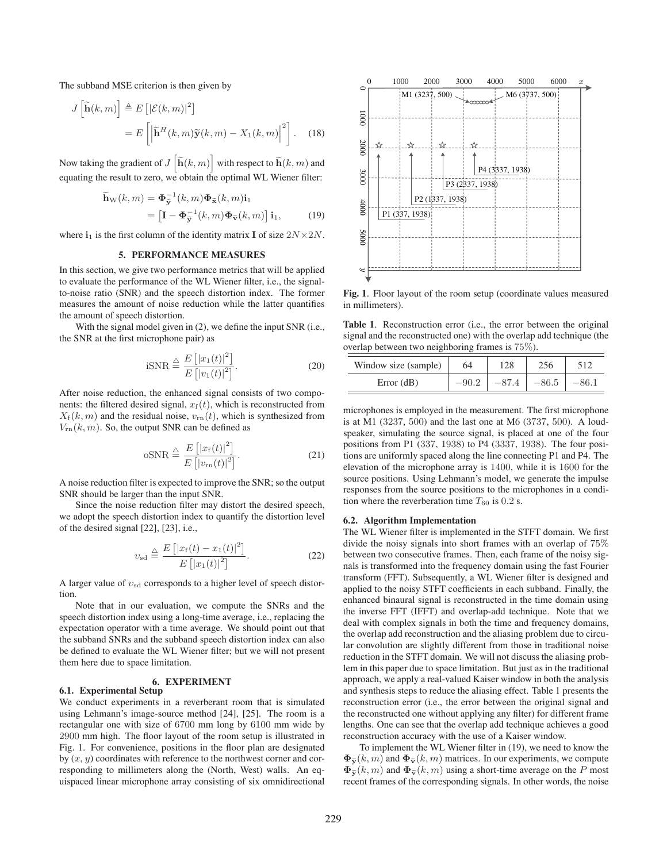The subband MSE criterion is then given by

$$
J\left[\widetilde{\mathbf{h}}(k,m)\right] \triangleq E\left[|\mathcal{E}(k,m)|^2\right]
$$

$$
= E\left[\left|\widetilde{\mathbf{h}}^H(k,m)\widetilde{\mathbf{y}}(k,m) - X_1(k,m)\right|^2\right]. \quad (18)
$$

Now taking the gradient of  $J\left[\mathbf{\widetilde{h}}(k,m)\right]$  with respect to  $\mathbf{\widetilde{h}}(k,m)$  and equating the result to zero, we obtain the optimal WL Wiener filter:

$$
\widetilde{\mathbf{h}}_{\mathbf{W}}(k,m) = \mathbf{\Phi}_{\widetilde{\mathbf{y}}}^{-1}(k,m)\mathbf{\Phi}_{\widetilde{\mathbf{x}}}(k,m)\mathbf{i}_1
$$
\n
$$
= \left[\mathbf{I} - \mathbf{\Phi}_{\widetilde{\mathbf{y}}}^{-1}(k,m)\mathbf{\Phi}_{\widetilde{\mathbf{v}}}(k,m)\right]\mathbf{i}_1, \tag{19}
$$

where  $\mathbf{i}_1$  is the first column of the identity matrix **I** of size  $2N \times 2N$ .

# **5. PERFORMANCE MEASURES**

In this section, we give two performance metrics that will be applied to evaluate the performance of the WL Wiener filter, i.e., the signalto-noise ratio (SNR) and the speech distortion index. The former measures the amount of noise reduction while the latter quantifies the amount of speech distortion.

With the signal model given in (2), we define the input SNR (i.e., the SNR at the first microphone pair) as

$$
iSNR \stackrel{\triangle}{=} \frac{E\left[|x_1(t)|^2\right]}{E\left[|v_1(t)|^2\right]}.
$$
\n(20)

After noise reduction, the enhanced signal consists of two components: the filtered desired signal,  $x_f(t)$ , which is reconstructed from  $X_f(k, m)$  and the residual noise,  $v_{\rm rn}(t)$ , which is synthesized from  $V_{\rm rn}(k,m)$ . So, the output SNR can be defined as

$$
oSNR \stackrel{\triangle}{=} \frac{E\left[|x_{\rm f}(t)|^2\right]}{E\left[|v_{\rm rn}(t)|^2\right]}.\tag{21}
$$

A noise reduction filter is expected to improve the SNR; so the output SNR should be larger than the input SNR.

Since the noise reduction filter may distort the desired speech, we adopt the speech distortion index to quantify the distortion level of the desired signal [22], [23], i.e.,

$$
v_{\rm sd} \stackrel{\triangle}{=} \frac{E\left[|x_{\rm f}(t) - x_1(t)|^2\right]}{E\left[|x_1(t)|^2\right]}.
$$
 (22)

A larger value of  $v_{sd}$  corresponds to a higher level of speech distortion.

Note that in our evaluation, we compute the SNRs and the speech distortion index using a long-time average, i.e., replacing the expectation operator with a time average. We should point out that the subband SNRs and the subband speech distortion index can also be defined to evaluate the WL Wiener filter; but we will not present them here due to space limitation.

#### **6. EXPERIMENT 6.1. Experimental Setup**

We conduct experiments in a reverberant room that is simulated using Lehmann's image-source method [24], [25]. The room is a rectangular one with size of 6700 mm long by 6100 mm wide by 2900 mm high. The floor layout of the room setup is illustrated in Fig. 1. For convenience, positions in the floor plan are designated by  $(x, y)$  coordinates with reference to the northwest corner and corresponding to millimeters along the (North, West) walls. An equispaced linear microphone array consisting of six omnidirectional



**Fig. 1**. Floor layout of the room setup (coordinate values measured in millimeters).

**Table 1**. Reconstruction error (i.e., the error between the original signal and the reconstructed one) with the overlap add technique (the overlap between two neighboring frames is 75%).

| Window size (sample) | 64 | 128 | 256     |  |
|----------------------|----|-----|---------|--|
| Error $(dB)$         |    |     | $-86.5$ |  |

microphones is employed in the measurement. The first microphone is at M1 (3237, 500) and the last one at M6 (3737, 500). A loudspeaker, simulating the source signal, is placed at one of the four positions from P1 (337, 1938) to P4 (3337, 1938). The four positions are uniformly spaced along the line connecting P1 and P4. The elevation of the microphone array is 1400, while it is 1600 for the source positions. Using Lehmann's model, we generate the impulse responses from the source positions to the microphones in a condition where the reverberation time  $T_{60}$  is 0.2 s.

### **6.2. Algorithm Implementation**

The WL Wiener filter is implemented in the STFT domain. We first divide the noisy signals into short frames with an overlap of 75% between two consecutive frames. Then, each frame of the noisy signals is transformed into the frequency domain using the fast Fourier transform (FFT). Subsequently, a WL Wiener filter is designed and applied to the noisy STFT coefficients in each subband. Finally, the enhanced binaural signal is reconstructed in the time domain using the inverse FFT (IFFT) and overlap-add technique. Note that we deal with complex signals in both the time and frequency domains, the overlap add reconstruction and the aliasing problem due to circular convolution are slightly different from those in traditional noise reduction in the STFT domain. We will not discuss the aliasing problem in this paper due to space limitation. But just as in the traditional approach, we apply a real-valued Kaiser window in both the analysis and synthesis steps to reduce the aliasing effect. Table 1 presents the reconstruction error (i.e., the error between the original signal and the reconstructed one without applying any filter) for different frame lengths. One can see that the overlap add technique achieves a good reconstruction accuracy with the use of a Kaiser window.

To implement the WL Wiener filter in (19), we need to know the  $\Phi_{\widetilde{\mathbf{y}}}(k,m)$  and  $\Phi_{\widetilde{\mathbf{y}}}(k,m)$  matrices. In our experiments, we compute  $\Phi_{\tilde{\mathbf{v}}}(k, m)$  and  $\Phi_{\tilde{\mathbf{v}}}(k, m)$  using a short-time average on the P most recent frames of the corresponding signals. In other words, the noise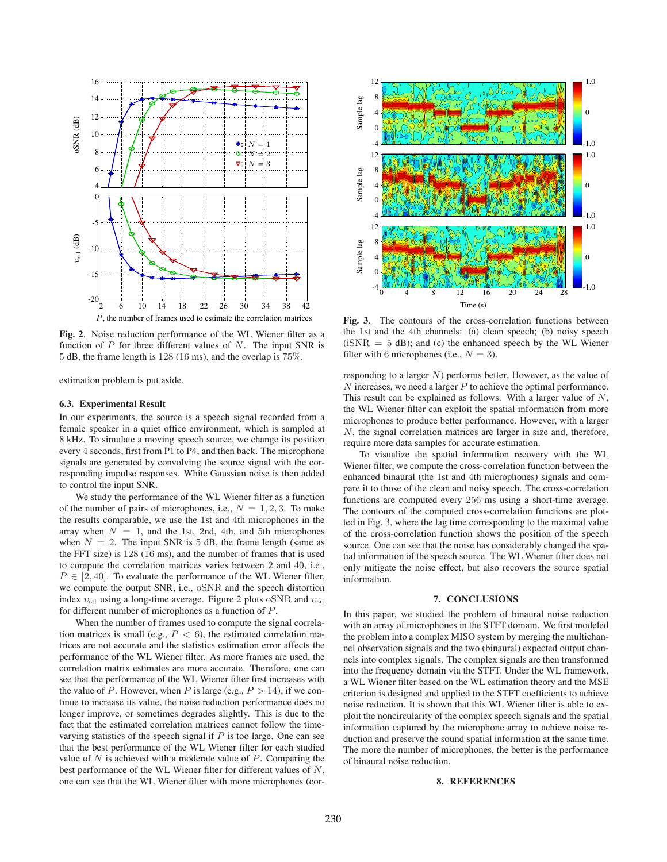

**Fig. 2**. Noise reduction performance of the WL Wiener filter as a function of  $P$  for three different values of  $N$ . The input SNR is 5 dB, the frame length is 128 (16 ms), and the overlap is 75%.

estimation problem is put aside.

#### **6.3. Experimental Result**

In our experiments, the source is a speech signal recorded from a female speaker in a quiet office environment, which is sampled at 8 kHz. To simulate a moving speech source, we change its position every 4 seconds, first from P1 to P4, and then back. The microphone signals are generated by convolving the source signal with the corresponding impulse responses. White Gaussian noise is then added to control the input SNR.

We study the performance of the WL Wiener filter as a function of the number of pairs of microphones, i.e.,  $N = 1, 2, 3$ . To make the results comparable, we use the 1st and 4th microphones in the array when  $N = 1$ , and the 1st, 2nd, 4th, and 5th microphones when  $N = 2$ . The input SNR is 5 dB, the frame length (same as the FFT size) is 128 (16 ms), and the number of frames that is used to compute the correlation matrices varies between 2 and 40, i.e.,  $P \in [2, 40]$ . To evaluate the performance of the WL Wiener filter, we compute the output SNR, i.e., oSNR and the speech distortion index  $v_{sd}$  using a long-time average. Figure 2 plots oSNR and  $v_{sd}$ for different number of microphones as a function of P.

When the number of frames used to compute the signal correlation matrices is small (e.g.,  $P < 6$ ), the estimated correlation matrices are not accurate and the statistics estimation error affects the performance of the WL Wiener filter. As more frames are used, the correlation matrix estimates are more accurate. Therefore, one can see that the performance of the WL Wiener filter first increases with the value of P. However, when P is large (e.g.,  $P > 14$ ), if we continue to increase its value, the noise reduction performance does no longer improve, or sometimes degrades slightly. This is due to the fact that the estimated correlation matrices cannot follow the timevarying statistics of the speech signal if  $P$  is too large. One can see that the best performance of the WL Wiener filter for each studied value of  $N$  is achieved with a moderate value of  $P$ . Comparing the best performance of the WL Wiener filter for different values of N, one can see that the WL Wiener filter with more microphones (cor-



**Fig. 3**. The contours of the cross-correlation functions between the 1st and the 4th channels: (a) clean speech; (b) noisy speech  $(iSNR = 5$  dB); and (c) the enhanced speech by the WL Wiener filter with 6 microphones (i.e.,  $N = 3$ ).

responding to a larger N) performs better. However, as the value of  $N$  increases, we need a larger  $P$  to achieve the optimal performance. This result can be explained as follows. With a larger value of N, the WL Wiener filter can exploit the spatial information from more microphones to produce better performance. However, with a larger N, the signal correlation matrices are larger in size and, therefore, require more data samples for accurate estimation.

To visualize the spatial information recovery with the WL Wiener filter, we compute the cross-correlation function between the enhanced binaural (the 1st and 4th microphones) signals and compare it to those of the clean and noisy speech. The cross-correlation functions are computed every 256 ms using a short-time average. The contours of the computed cross-correlation functions are plotted in Fig. 3, where the lag time corresponding to the maximal value of the cross-correlation function shows the position of the speech source. One can see that the noise has considerably changed the spatial information of the speech source. The WL Wiener filter does not only mitigate the noise effect, but also recovers the source spatial information.

# **7. CONCLUSIONS**

In this paper, we studied the problem of binaural noise reduction with an array of microphones in the STFT domain. We first modeled the problem into a complex MISO system by merging the multichannel observation signals and the two (binaural) expected output channels into complex signals. The complex signals are then transformed into the frequency domain via the STFT. Under the WL framework, a WL Wiener filter based on the WL estimation theory and the MSE criterion is designed and applied to the STFT coefficients to achieve noise reduction. It is shown that this WL Wiener filter is able to exploit the noncircularity of the complex speech signals and the spatial information captured by the microphone array to achieve noise reduction and preserve the sound spatial information at the same time. The more the number of microphones, the better is the performance of binaural noise reduction.

## **8. REFERENCES**